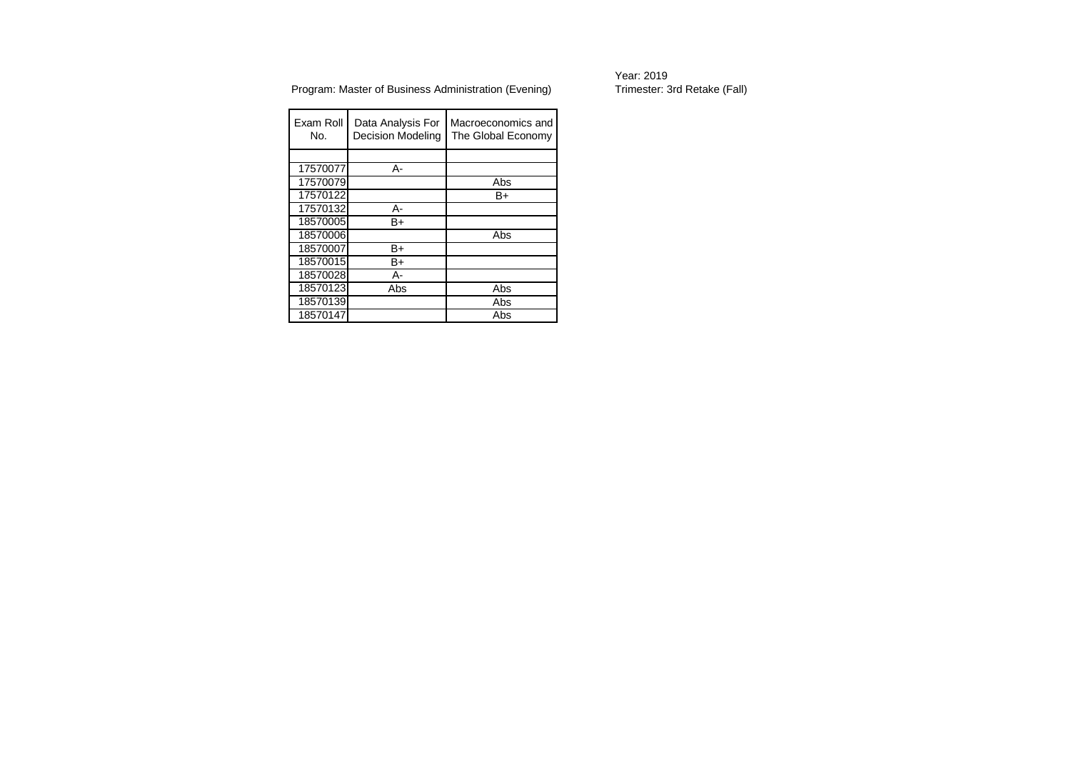| Exam Roll<br>No. | Data Analysis For<br>Decision Modeling | Macroeconomics and<br>The Global Economy |
|------------------|----------------------------------------|------------------------------------------|
|                  |                                        |                                          |
| 17570077         | А-                                     |                                          |
| 17570079         |                                        | Abs                                      |
| 17570122         |                                        | B+                                       |
| 17570132         | А-                                     |                                          |
| 18570005         | B+                                     |                                          |
| 18570006         |                                        | Abs                                      |
| 18570007         | B+                                     |                                          |
| 18570015         | B+                                     |                                          |
| 18570028         | А-                                     |                                          |
| 18570123         | Abs                                    | Abs                                      |
| 18570139         |                                        | Abs                                      |
| 18570147         |                                        | Abs                                      |

Year: 2019<br>Trimester: 3rd Retake (Fall)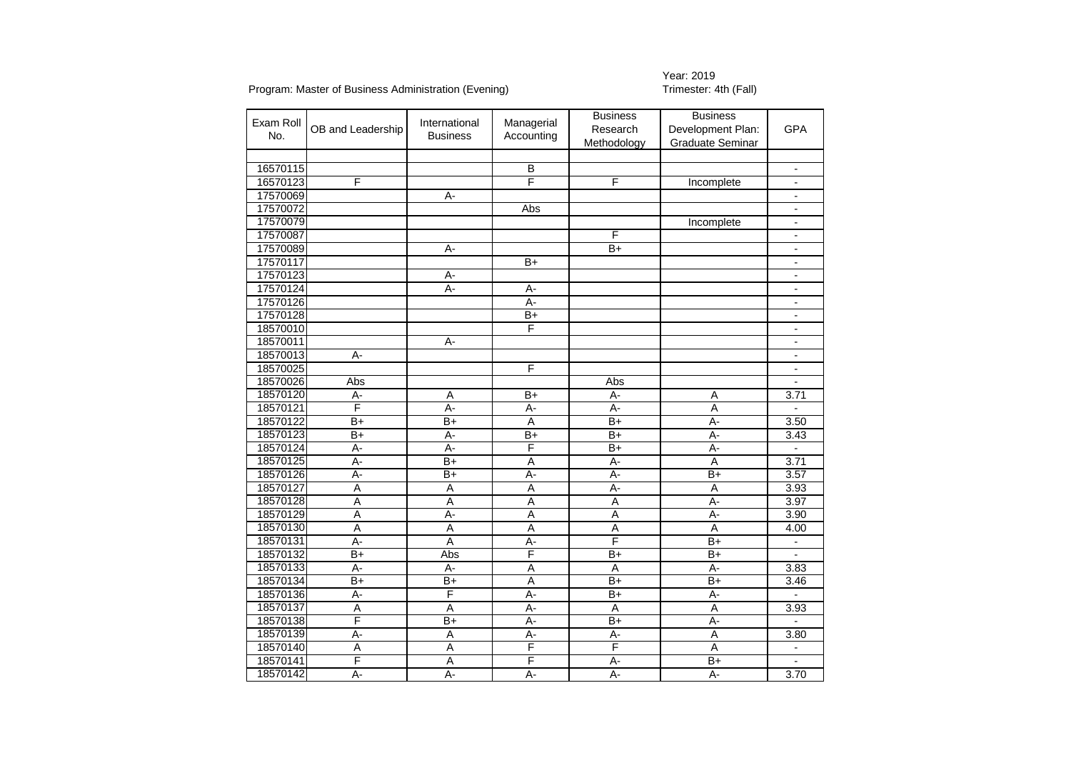Year: 2019<br>Trimester: 4th (Fall)

| Exam Roll<br>No. | OB and Leadership | International<br><b>Business</b> | Managerial<br>Accounting | <b>Business</b><br>Research<br>Methodology | <b>Business</b><br>Development Plan:<br><b>Graduate Seminar</b> | <b>GPA</b>               |
|------------------|-------------------|----------------------------------|--------------------------|--------------------------------------------|-----------------------------------------------------------------|--------------------------|
|                  |                   |                                  |                          |                                            |                                                                 |                          |
| 16570115         |                   |                                  | B                        |                                            |                                                                 | $\blacksquare$           |
| 16570123         | F                 |                                  | F                        | F                                          | Incomplete                                                      | $\overline{\phantom{0}}$ |
| 17570069         |                   | $\overline{A}$ -                 |                          |                                            |                                                                 | $\blacksquare$           |
| 17570072         |                   |                                  | Abs                      |                                            |                                                                 | $\overline{\phantom{a}}$ |
| 17570079         |                   |                                  |                          |                                            | Incomplete                                                      | $\overline{\phantom{a}}$ |
| 17570087         |                   |                                  |                          | F                                          |                                                                 | $\overline{a}$           |
| 17570089         |                   | А-                               |                          | $\overline{B+}$                            |                                                                 | $\blacksquare$           |
| 17570117         |                   |                                  | $B+$                     |                                            |                                                                 | $\blacksquare$           |
| 17570123         |                   | А-                               |                          |                                            |                                                                 | $\blacksquare$           |
| 17570124         |                   | $A -$                            | А-                       |                                            |                                                                 | $\overline{a}$           |
| 17570126         |                   |                                  | А-                       |                                            |                                                                 | $\overline{\phantom{a}}$ |
| 17570128         |                   |                                  | $B+$                     |                                            |                                                                 | $\overline{\phantom{a}}$ |
| 18570010         |                   |                                  | F                        |                                            |                                                                 | $\blacksquare$           |
| 18570011         |                   | А-                               |                          |                                            |                                                                 | $\overline{\phantom{a}}$ |
| 18570013         | A-                |                                  |                          |                                            |                                                                 | $\overline{\phantom{0}}$ |
| 18570025         |                   |                                  | F                        |                                            |                                                                 | $\blacksquare$           |
| 18570026         | Abs               |                                  |                          | Abs                                        |                                                                 |                          |
| 18570120         | $A -$             | A                                | $\overline{B+}$          | $A -$                                      | Α                                                               | 3.71                     |
| 18570121         | F                 | А-                               | А-                       | A-                                         | A                                                               |                          |
| 18570122         | $B+$              | $\overline{B+}$                  | A                        | $B+$                                       | $\overline{A}$ -                                                | 3.50                     |
| 18570123         | $B+$              | $\overline{A}$ -                 | $\overline{B}$           | $B+$                                       | $A -$                                                           | 3.43                     |
| 18570124         | A-                | A-                               | F                        | $B+$                                       | A-                                                              |                          |
| 18570125         | $A -$             | $B+$                             | Α                        | A-                                         | A                                                               | 3.71                     |
| 18570126         | $\overline{A}$ -  | $\overline{B+}$                  | $\overline{A}$ -         | $\overline{A}$ -                           | $\overline{B+}$                                                 | 3.57                     |
| 18570127         | $\overline{A}$    | $\overline{A}$                   | $\overline{A}$           | $A -$                                      | $\overline{A}$                                                  | 3.93                     |
| 18570128         | A                 | A                                | Α                        | A                                          | A-                                                              | 3.97                     |
| 18570129         | A                 | А-                               | A                        | A                                          | A-                                                              | 3.90                     |
| 18570130         | $\overline{A}$    | $\overline{A}$                   | Ā                        | $\overline{A}$                             | $\overline{A}$                                                  | 4.00                     |
| 18570131         | $\overline{A}$ -  | $\overline{A}$                   | A-                       | F                                          | $B+$                                                            | $\blacksquare$           |
| 18570132         | $\overline{B+}$   | Abs                              | F                        | $B+$                                       | $B+$                                                            | $\overline{\phantom{0}}$ |
| 18570133         | $\overline{A}$ -  | A-                               | $\overline{\mathsf{A}}$  | $\overline{A}$                             | $\overline{A}$ -                                                | 3.83                     |
| 18570134         | $\overline{B+}$   | $\overline{B+}$                  | $\overline{A}$           | $\overline{B+}$                            | $B+$                                                            | 3.46                     |
| 18570136         | A-                | F                                | A-                       | $B+$                                       | А-                                                              |                          |
| 18570137         | Α                 | Α                                | А-                       | Α                                          | A                                                               | 3.93                     |
| 18570138         | F                 | $B+$                             | $\overline{A}$ -         | $B+$                                       | $A -$                                                           |                          |
| 18570139         | $A -$             | $\overline{A}$                   | $\overline{A}$ -         | $A -$                                      | $\overline{\mathsf{A}}$                                         | 3.80                     |
| 18570140         | A                 | A                                | F                        | F                                          | A                                                               | $\overline{\phantom{a}}$ |
| 18570141         | F                 | A                                | F                        | $\overline{A}$ -                           | $\overline{B+}$                                                 |                          |
| 18570142         | $\overline{A}$ -  | $\overline{A}$ -                 | $\overline{A}$ -         | $\overline{A}$ -                           | $\overline{A}$ -                                                | 3.70                     |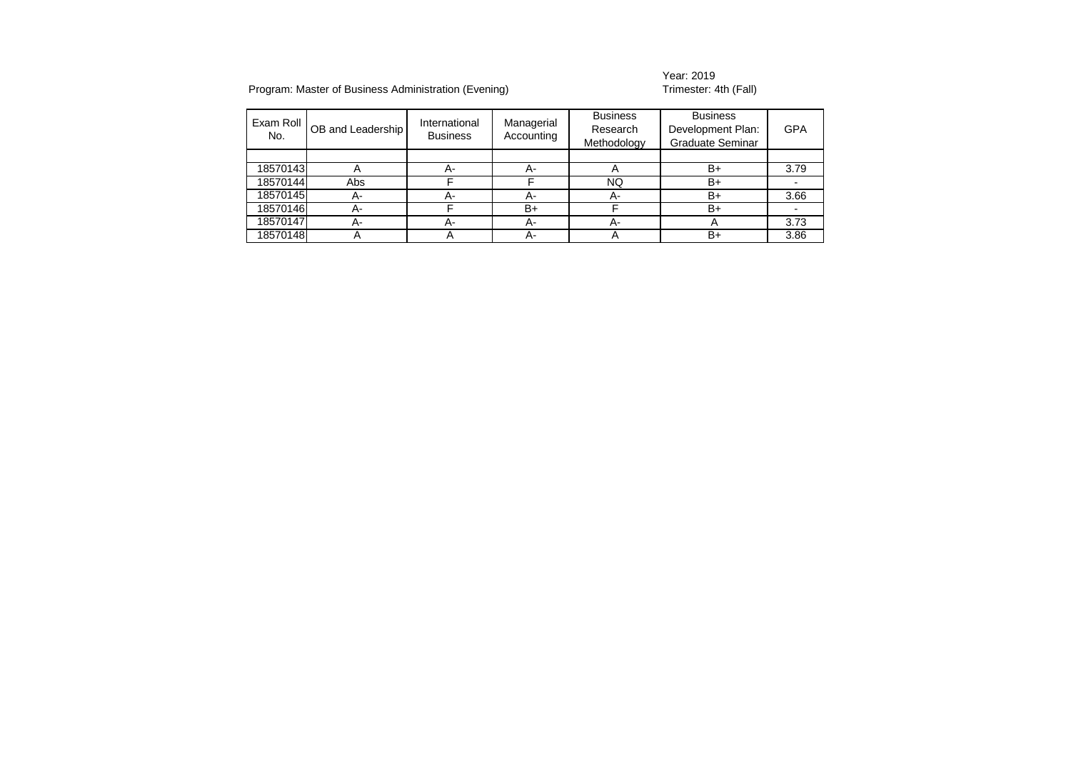## Year: 2019<br>Trimester: 4th (Fall)

| Exam Roll<br>No. | OB and Leadership | International<br><b>Business</b> | Managerial<br>Accounting | <b>Business</b><br>Research<br>Methodology | <b>Business</b><br>Development Plan:<br><b>Graduate Seminar</b> | <b>GPA</b> |
|------------------|-------------------|----------------------------------|--------------------------|--------------------------------------------|-----------------------------------------------------------------|------------|
|                  |                   |                                  |                          |                                            |                                                                 |            |
| 18570143         | A                 | А-                               | А-                       |                                            | B+                                                              | 3.79       |
| 18570144         | Abs               |                                  |                          | NQ                                         | B+                                                              |            |
| 18570145         | А-                | А-                               | А-                       | А-                                         | B+                                                              | 3.66       |
| 18570146         | А-                |                                  | B+                       |                                            | B+                                                              |            |
| 18570147         | А-                | А-                               | А-                       | А-                                         | A                                                               | 3.73       |
| 18570148         |                   | ∼                                | А-                       |                                            | $B+$                                                            | 3.86       |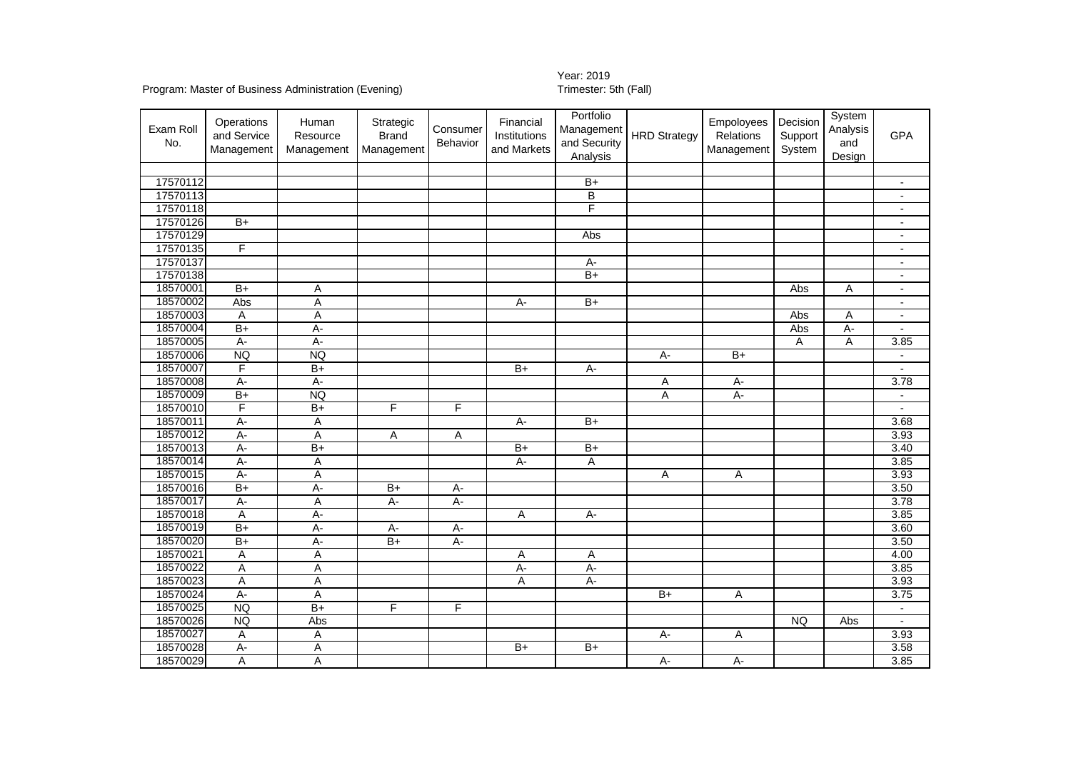## Year: 2019<br>Trimester: 5th (Fall)

## Program: Master of Business Administration (Evening)

| Exam Roll<br>No.     | Operations<br>and Service<br>Management | Human<br>Resource<br>Management | Strategic<br><b>Brand</b><br>Management | Consumer<br>Behavior | Financial<br>Institutions<br>and Markets | Portfolio<br>Management<br>and Security<br>Analysis | <b>HRD Strategy</b> | Empoloyees<br>Relations<br>Management | Decision<br>Support<br>System | System<br>Analysis<br>and<br>Design | <b>GPA</b>                                 |
|----------------------|-----------------------------------------|---------------------------------|-----------------------------------------|----------------------|------------------------------------------|-----------------------------------------------------|---------------------|---------------------------------------|-------------------------------|-------------------------------------|--------------------------------------------|
|                      |                                         |                                 |                                         |                      |                                          |                                                     |                     |                                       |                               |                                     |                                            |
| 17570112<br>17570113 |                                         |                                 |                                         |                      |                                          | $B+$<br>B                                           |                     |                                       |                               |                                     | $\blacksquare$                             |
| 17570118             |                                         |                                 |                                         |                      |                                          | F                                                   |                     |                                       |                               |                                     |                                            |
| 17570126             | $B+$                                    |                                 |                                         |                      |                                          |                                                     |                     |                                       |                               |                                     | $\overline{\phantom{a}}$                   |
| 17570129             |                                         |                                 |                                         |                      |                                          | Abs                                                 |                     |                                       |                               |                                     | $\overline{\phantom{a}}$<br>$\blacksquare$ |
| 17570135             | F                                       |                                 |                                         |                      |                                          |                                                     |                     |                                       |                               |                                     | $\blacksquare$                             |
| 17570137             |                                         |                                 |                                         |                      |                                          | A-                                                  |                     |                                       |                               |                                     | $\blacksquare$                             |
| 17570138             |                                         |                                 |                                         |                      |                                          | $B+$                                                |                     |                                       |                               |                                     | $\overline{\phantom{a}}$                   |
| 18570001             | $B+$                                    | Α                               |                                         |                      |                                          |                                                     |                     |                                       | Abs                           | Α                                   | $\blacksquare$                             |
| 18570002             | Abs                                     | Α                               |                                         |                      | А-                                       | $B+$                                                |                     |                                       |                               |                                     | $\blacksquare$                             |
| 18570003             | A                                       | A                               |                                         |                      |                                          |                                                     |                     |                                       | Abs                           | A                                   | $\overline{a}$                             |
| 18570004             | $\overline{B+}$                         | A-                              |                                         |                      |                                          |                                                     |                     |                                       | Abs                           | A-                                  | $\blacksquare$                             |
| 18570005             | $A -$                                   | $A -$                           |                                         |                      |                                          |                                                     |                     |                                       | Α                             | A                                   | 3.85                                       |
| 18570006             | <b>NQ</b>                               | <b>NQ</b>                       |                                         |                      |                                          |                                                     | $A -$               | $\overline{B+}$                       |                               |                                     |                                            |
| 18570007             | F                                       | $\overline{B+}$                 |                                         |                      | $B+$                                     | A-                                                  |                     |                                       |                               |                                     |                                            |
| 18570008             | $A -$                                   | $A -$                           |                                         |                      |                                          |                                                     | Α                   | А-                                    |                               |                                     | 3.78                                       |
| 18570009             | $\overline{B+}$                         | <b>NQ</b>                       |                                         |                      |                                          |                                                     | Α                   | $A -$                                 |                               |                                     |                                            |
| 18570010             | F                                       | $\overline{B+}$                 | F                                       | F                    |                                          |                                                     |                     |                                       |                               |                                     | $\sim$                                     |
| 18570011             | $A -$                                   | Α                               |                                         |                      | A-                                       | $B+$                                                |                     |                                       |                               |                                     | 3.68                                       |
| 18570012             | $A -$                                   | Α                               | Α                                       | Α                    |                                          |                                                     |                     |                                       |                               |                                     | 3.93                                       |
| 18570013             | $A -$                                   | $\overline{B+}$                 |                                         |                      | $B+$                                     | $B+$                                                |                     |                                       |                               |                                     | 3.40                                       |
| 18570014             | $A -$                                   | Α                               |                                         |                      | $A -$                                    | Α                                                   |                     |                                       |                               |                                     | 3.85                                       |
| 18570015             | $A -$                                   | A                               |                                         |                      |                                          |                                                     | A                   | $\overline{A}$                        |                               |                                     | 3.93                                       |
| 18570016             | $\overline{B+}$                         | A-                              | $B+$                                    | A-                   |                                          |                                                     |                     |                                       |                               |                                     | 3.50                                       |
| 18570017             | A-                                      | Α                               | A-                                      | $A -$                |                                          |                                                     |                     |                                       |                               |                                     | 3.78                                       |
| 18570018             | Α                                       | $A -$                           |                                         |                      | $\mathsf A$                              | $A -$                                               |                     |                                       |                               |                                     | 3.85                                       |
| 18570019             | $B+$                                    | $A -$                           | $A -$                                   | $A -$                |                                          |                                                     |                     |                                       |                               |                                     | 3.60                                       |
| 18570020             | $\overline{B+}$                         | A-                              | $\overline{B+}$                         | A-                   |                                          |                                                     |                     |                                       |                               |                                     | 3.50                                       |
| 18570021             | Α                                       | Α                               |                                         |                      | Α                                        | Α                                                   |                     |                                       |                               |                                     | 4.00                                       |
| 18570022             | Α                                       | Α                               |                                         |                      | A-                                       | А-                                                  |                     |                                       |                               |                                     | 3.85                                       |
| 18570023             | Α                                       | Α                               |                                         |                      | Α                                        | $A -$                                               |                     |                                       |                               |                                     | 3.93                                       |
| 18570024             | $A -$                                   | A                               |                                         |                      |                                          |                                                     | $\overline{B+}$     | Α                                     |                               |                                     | 3.75                                       |
| 18570025             | <b>NQ</b>                               | $\overline{B+}$                 | F                                       | F                    |                                          |                                                     |                     |                                       |                               |                                     | $\blacksquare$                             |
| 18570026             | <b>NQ</b>                               | Abs                             |                                         |                      |                                          |                                                     |                     |                                       | <b>NQ</b>                     | Abs                                 | $\blacksquare$                             |
| 18570027             | Α                                       | Α                               |                                         |                      |                                          |                                                     | $A -$               | Α                                     |                               |                                     | 3.93                                       |
| 18570028             | $A -$                                   | $\overline{\mathsf{A}}$         |                                         |                      | $\overline{B+}$                          | $\overline{B+}$                                     |                     |                                       |                               |                                     | 3.58                                       |
| 18570029             | A                                       | Α                               |                                         |                      |                                          |                                                     | $A -$               | $A -$                                 |                               |                                     | 3.85                                       |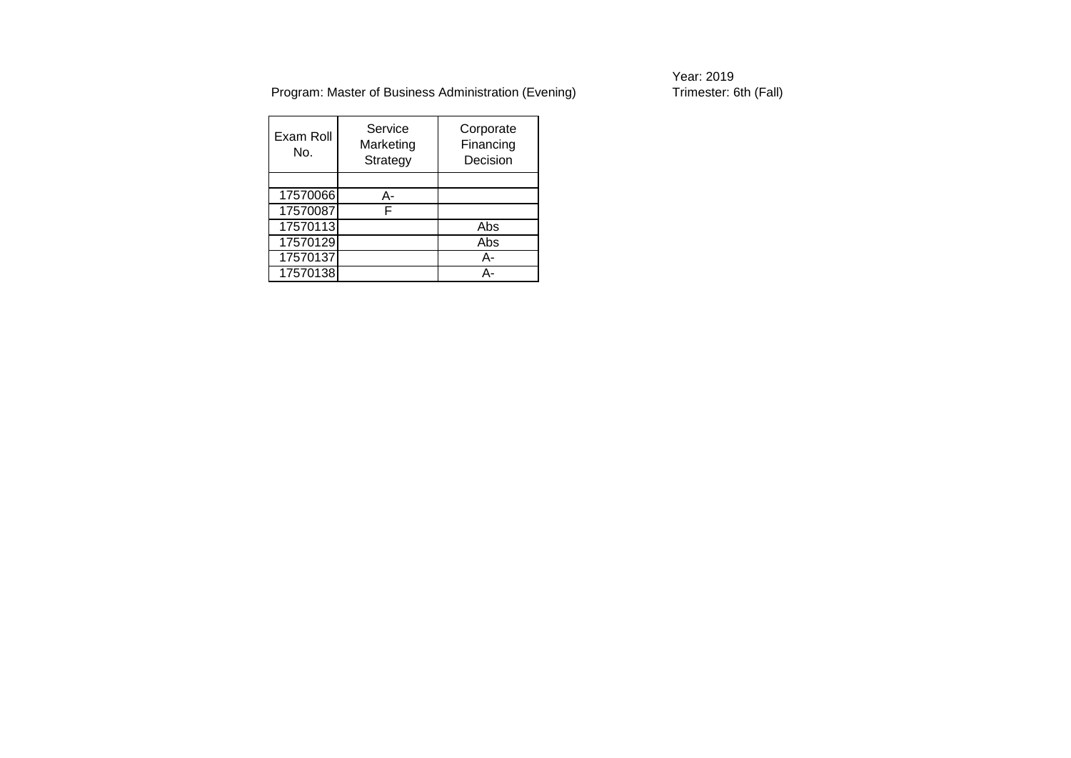Year: 2019<br>Trimester: 6th (Fall)

| Exam Roll<br>No. | Service<br>Marketing<br>Strategy | Corporate<br>Financing<br>Decision |
|------------------|----------------------------------|------------------------------------|
|                  |                                  |                                    |
| 17570066         | А-                               |                                    |
| 17570087         | F                                |                                    |
| 17570113         |                                  | Abs                                |
| 17570129         |                                  | Abs                                |
| 17570137         |                                  | А-                                 |
| 17570138         |                                  | Δ.                                 |